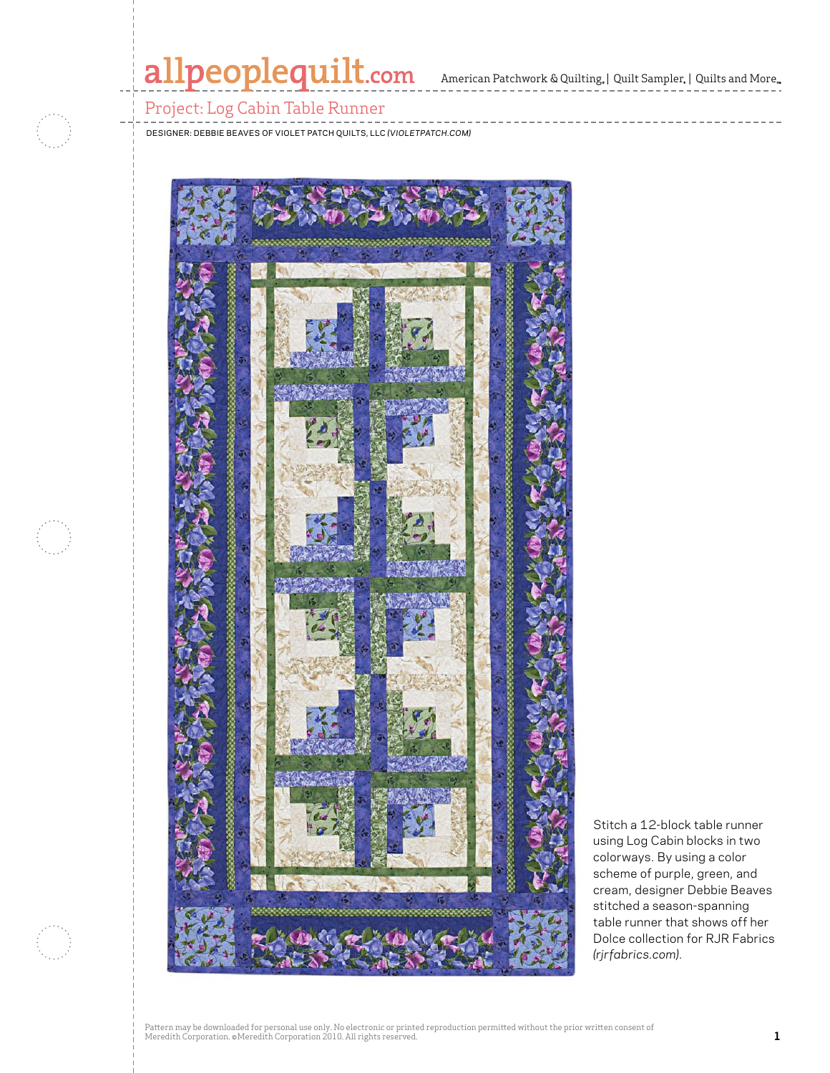# allpeoplequilt.com American Patchwork & Quilting. | Quilt Sampler. | Quilts and More..

### Project: Log Cabin Table Runner

Designer: Debbie Beaves of Violet Patch Quilts, LLC *(VioletPatch.com)*



Stitch a 12-block table runner using Log Cabin blocks in two colorways. By using a color scheme of purple, green, and cream, designer Debbie Beaves stitched a season-spanning table runner that shows off her Dolce collection for RJR Fabrics *(rjrfabrics.com)*.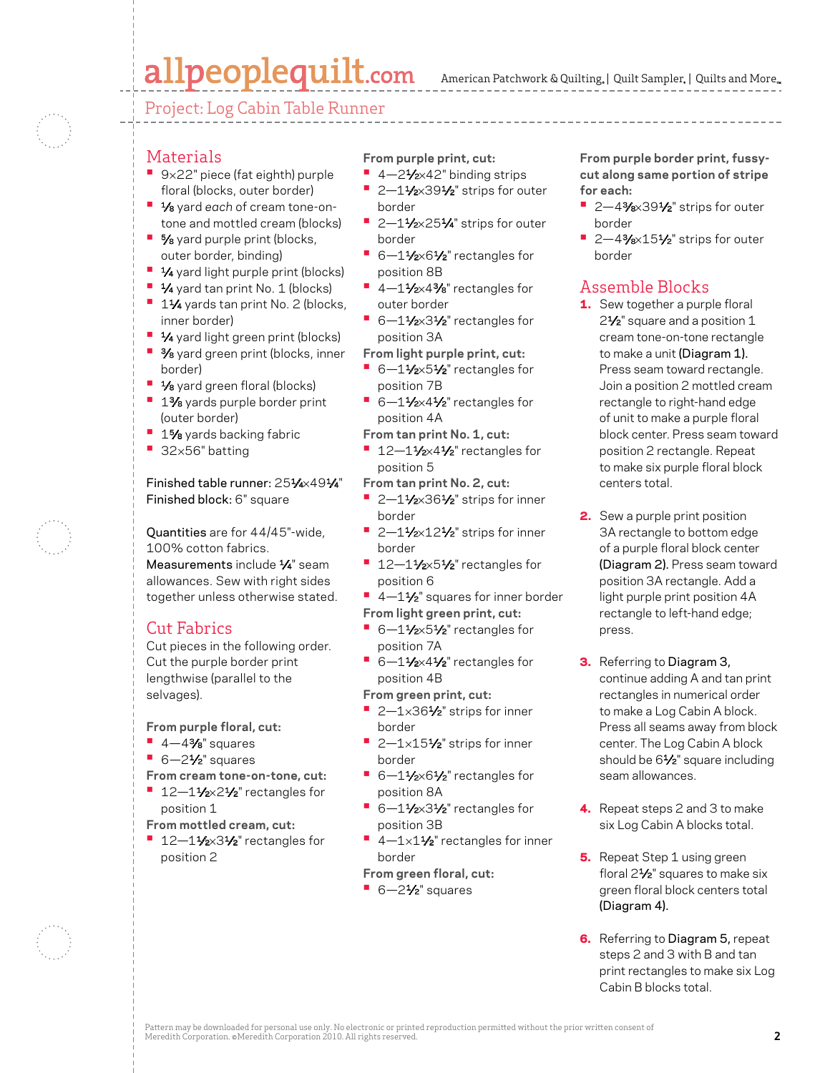# allpeoplequilt.com

Project: Log Cabin Table Runner

- **Materials**
- **•**  <sup>9</sup>×22" piece (fat eighth) purple floral (blocks, outer border)
- **•**  1⁄8 yard *each* of cream tone-ontone and mottled cream (blocks)
- **•** 5⁄8 yard purple print (blocks, outer border, binding)
- **•**  1⁄4 yard light purple print (blocks)
- **•** 1⁄4 yard tan print No. 1 (blocks)
- **<sup>•</sup>** 11⁄4 yards tan print No. 2 (blocks, inner border)
- **1⁄4** yard light green print (blocks)
- **•**  3⁄8 yard green print (blocks, inner border)
- **•** 1⁄8 yard green floral (blocks)
- **<sup>■</sup>** 1% yards purple border print (outer border)
- **1%** yards backing fabric
- **•**  <sup>32</sup>×56" batting

Finished table runner: 251⁄4×491⁄4" Finished block: 6" square

Quantities are for 44/45"-wide, 100% cotton fabrics. Measurements include 1/4" seam allowances. Sew with right sides together unless otherwise stated.

### Cut Fabrics

Cut pieces in the following order. Cut the purple border print lengthwise (parallel to the selvages).

**From purple floral, cut:**

- **•**  4—43⁄8" squares
- **•**  6—21⁄2" squares
- **From cream tone-on-tone, cut:**
- 12-11⁄2×21⁄2" rectangles for position 1
- **From mottled cream, cut:**
- 12-11/<sub>2×</sub>31/<sub>2</sub>" rectangles for position 2

**From purple print, cut:**

- **•**  4—21⁄2×42" binding strips
- **2–11/2×391/2**" strips for outer border
- 2-11⁄2×251⁄4" strips for outer border
- 6-11⁄2×61⁄2" rectangles for position 8B
- 4-11⁄2×4<sup>3</sup>⁄8" rectangles for outer border
- 6-11⁄2×31⁄2" rectangles for position 3A
- **From light purple print, cut:**
- 6-11⁄2×51⁄2" rectangles for position 7B
- 6-11⁄2×41⁄2" rectangles for position 4A
- **From tan print No. 1, cut:**
- 12-11⁄2×41⁄2" rectangles for position 5
- **From tan print No. 2, cut:**
- **2–11⁄2×361⁄2**" strips for inner border
- **2-11/2×121/2**" strips for inner border
- <sup>1</sup> 12-11/<sub>2×</sub>51/<sub>2</sub>" rectangles for position 6
- <sup>1</sup> 4 1<sup>1</sup>/<sub>2</sub>" squares for inner border **From light green print, cut:**
- 6-11⁄2×51⁄2" rectangles for position 7A
- 6-11⁄2×41⁄2" rectangles for position 4B
- **From green print, cut:**
- **•**  2—1×361⁄2" strips for inner border
- 2-1×151⁄2" strips for inner border
- 6-11⁄2×61⁄2" rectangles for position 8A
- 6-11⁄2×31⁄2" rectangles for position 3B
- 4-1×11⁄2" rectangles for inner border
- **From green floral, cut:**
- **•**  6—21⁄2" squares

**From purple border print, fussycut along same portion of stripe for each:**

- 2-4<sup>3</sup>⁄8×39<sup>1</sup>⁄2" strips for outer border
- 2-4<sup>3</sup>⁄8×15<sup>1</sup>⁄2" strips for outer border

### Assemble Blocks

- 1. Sew together a purple floral 2<sup>1</sup>/<sub>2</sub>" square and a position 1 cream tone-on-tone rectangle to make a unit (Diagram 1). Press seam toward rectangle. Join a position 2 mottled cream rectangle to right-hand edge of unit to make a purple floral block center. Press seam toward position 2 rectangle. Repeat to make six purple floral block centers total.
- 2. Sew a purple print position 3A rectangle to bottom edge of a purple floral block center (Diagram 2). Press seam toward position 3A rectangle. Add a light purple print position 4A rectangle to left-hand edge; press.
- **3.** Referring to Diagram 3, continue adding A and tan print rectangles in numerical order to make a Log Cabin A block. Press all seams away from block center. The Log Cabin A block should be 61/2" square including seam allowances.
- 4. Repeat steps 2 and 3 to make six Log Cabin A blocks total.
- **5.** Repeat Step 1 using green floral 21⁄2" squares to make six green floral block centers total (Diagram 4).
- **6.** Referring to Diagram 5, repeat steps 2 and 3 with B and tan print rectangles to make six Log Cabin B blocks total.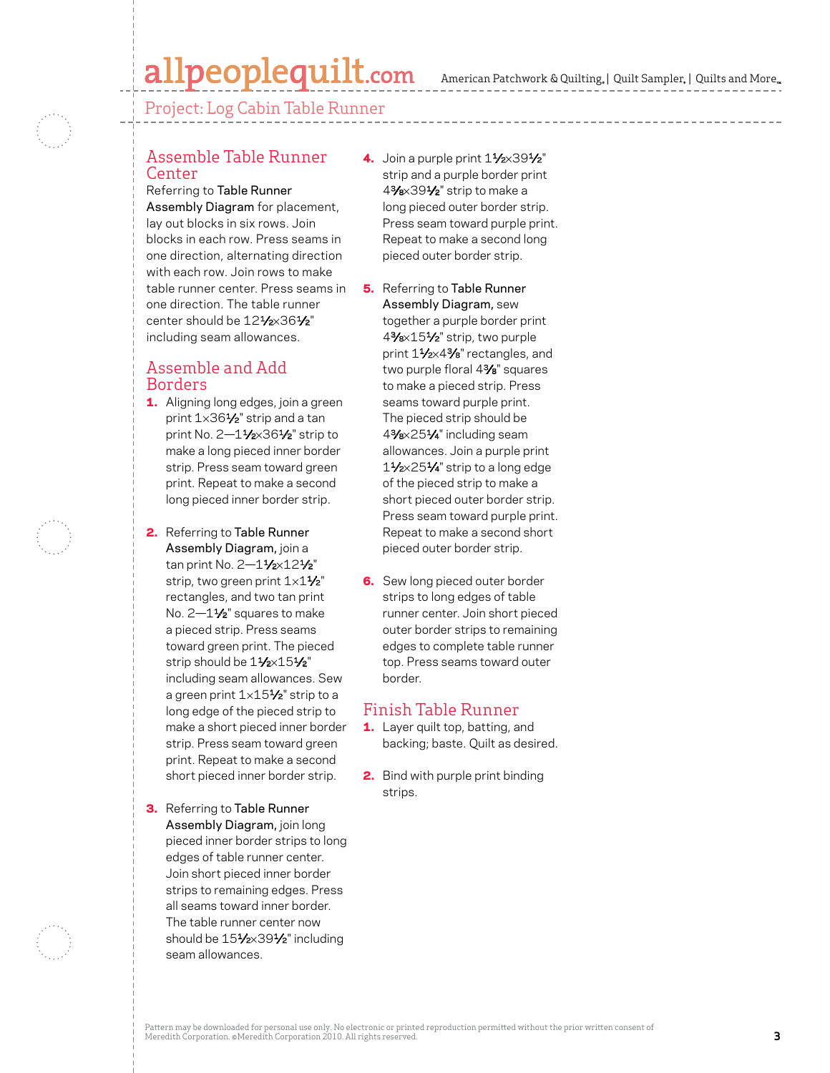## allpeoplequilt.com

American Patchwork & Quilting,  $|$  Quilt Sampler,  $|$  Quilts and More,

Project: Log Cabin Table Runner

### Assemble Table Runner Center

Referring to Table Runner Assembly Diagram for placement, lay out blocks in six rows. Join blocks in each row. Press seams in one direction, alternating direction with each row. Join rows to make table runner center. Press seams in one direction. The table runner center should be 121/2×361/2" including seam allowances.

### Assemble and Add Borders

- **1.** Aligning long edges, join a green print 1×361⁄2" strip and a tan print No.  $2-1\frac{1}{2} \times 36\frac{1}{2}$ " strip to make a long pieced inner border strip. Press seam toward green print. Repeat to make a second long pieced inner border strip.
- 2. Referring to Table Runner Assembly Diagram, join a tan print No. 2-11/2×121/2" strip, two green print  $1 \times 1\frac{1}{2}$ " rectangles, and two tan print No. 2-11/<sub>2</sub>" squares to make a pieced strip. Press seams toward green print. The pieced strip should be  $11/x151/x$ including seam allowances. Sew a green print  $1\times15\frac{1}{2}$ " strip to a long edge of the pieced strip to make a short pieced inner border strip. Press seam toward green print. Repeat to make a second short pieced inner border strip.
- **3.** Referring to Table Runner Assembly Diagram, join long pieced inner border strips to long edges of table runner center. Join short pieced inner border strips to remaining edges. Press all seams toward inner border. The table runner center now should be 151/2×391/2" including seam allowances.
- 4. Join a purple print  $1\frac{1}{2} \times 39\frac{1}{2}$ " strip and a purple border print 43⁄8×391⁄2" strip to make a long pieced outer border strip. Press seam toward purple print. Repeat to make a second long pieced outer border strip.
- **5.** Referring to Table Runner Assembly Diagram, sew together a purple border print 43⁄8×151⁄2" strip, two purple print 11⁄2×4<sup>3</sup>/8" rectangles, and two purple floral 43⁄8" squares to make a pieced strip. Press seams toward purple print. The pieced strip should be 43⁄8×251⁄4" including seam allowances. Join a purple print 11⁄2×251⁄4" strip to a long edge of the pieced strip to make a short pieced outer border strip. Press seam toward purple print. Repeat to make a second short pieced outer border strip.
- **6.** Sew long pieced outer border strips to long edges of table runner center. Join short pieced outer border strips to remaining edges to complete table runner top. Press seams toward outer border.

### Finish Table Runner

- 1. Layer quilt top, batting, and backing; baste. Quilt as desired.
- 2. Bind with purple print binding strips.